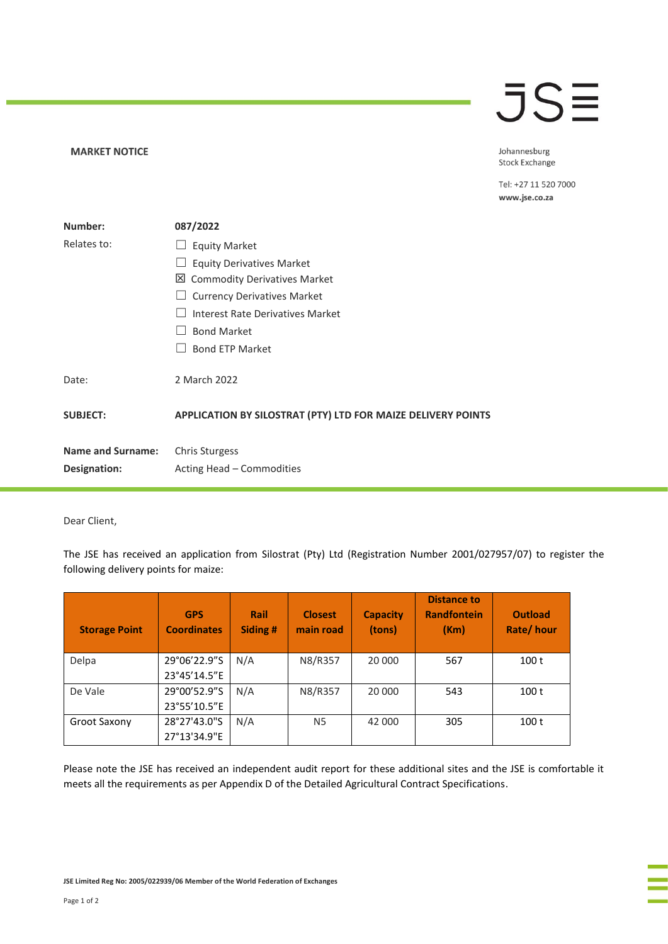## **JSE**

**MARKET NOTICE** 

Johannesburg Stock Exchange

Tel: +27 11 520 7000 www.jse.co.za

| Number:                  | 087/2022                                                     |  |  |  |  |
|--------------------------|--------------------------------------------------------------|--|--|--|--|
| Relates to:              | <b>Equity Market</b>                                         |  |  |  |  |
|                          | <b>Equity Derivatives Market</b>                             |  |  |  |  |
|                          | 凶 Commodity Derivatives Market                               |  |  |  |  |
|                          | <b>Currency Derivatives Market</b>                           |  |  |  |  |
|                          | Interest Rate Derivatives Market                             |  |  |  |  |
|                          | <b>Bond Market</b>                                           |  |  |  |  |
|                          | <b>Bond ETP Market</b>                                       |  |  |  |  |
| Date:                    | 2 March 2022                                                 |  |  |  |  |
| <b>SUBJECT:</b>          | APPLICATION BY SILOSTRAT (PTY) LTD FOR MAIZE DELIVERY POINTS |  |  |  |  |
| <b>Name and Surname:</b> | Chris Sturgess                                               |  |  |  |  |
| Designation:             | Acting Head – Commodities                                    |  |  |  |  |

Dear Client,

The JSE has received an application from Silostrat (Pty) Ltd (Registration Number 2001/027957/07) to register the following delivery points for maize:

| <b>Storage Point</b> | <b>GPS</b><br><b>Coordinates</b> | Rail<br>Siding # | <b>Closest</b><br>main road | <b>Capacity</b><br>(tons) | <b>Distance to</b><br><b>Randfontein</b><br>(Km) | <b>Outload</b><br>Rate/hour |
|----------------------|----------------------------------|------------------|-----------------------------|---------------------------|--------------------------------------------------|-----------------------------|
| Delpa                | 29°06'22.9"S                     | N/A              | N8/R357                     | 20 000                    | 567                                              | 100 <sub>t</sub>            |
|                      | 23°45'14.5"E                     |                  |                             |                           |                                                  |                             |
| De Vale              | 29°00'52.9"S                     | N/A              | N8/R357                     | 20 000                    | 543                                              | 100 <sub>t</sub>            |
|                      | 23°55'10.5"E                     |                  |                             |                           |                                                  |                             |
| Groot Saxony         | 28°27'43.0"S                     | N/A              | N <sub>5</sub>              | 42 000                    | 305                                              | 100 t                       |
|                      | 27°13'34.9"E                     |                  |                             |                           |                                                  |                             |

Please note the JSE has received an independent audit report for these additional sites and the JSE is comfortable it meets all the requirements as per Appendix D of the Detailed Agricultural Contract Specifications.